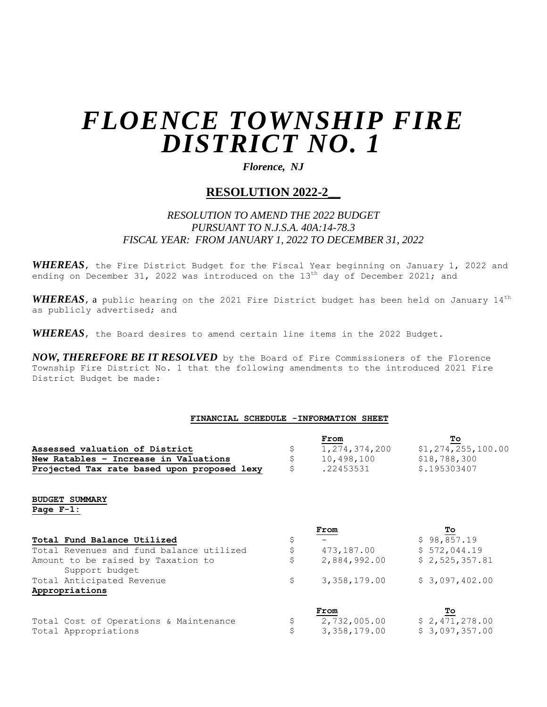# *FLOENCE TOWNSHIP FIRE DISTRICT NO. 1*

### *Florence, NJ*

## **RESOLUTION 2022-2\_\_**

## *RESOLUTION TO AMEND THE 2022 BUDGET PURSUANT TO N.J.S.A. 40A:14-78.3 FISCAL YEAR: FROM JANUARY 1, 2022 TO DECEMBER 31, 2022*

*WHEREAS*, the Fire District Budget for the Fiscal Year beginning on January 1, 2022 and ending on December 31, 2022 was introduced on the 13<sup>th</sup> day of December 2021; and

*WHEREAS*, a public hearing on the 2021 Fire District budget has been held on January 14th as publicly advertised; and

*WHEREAS*, the Board desires to amend certain line items in the 2022 Budget.

*NOW, THEREFORE BE IT RESOLVED* by the Board of Fire Commissioners of the Florence Township Fire District No. 1 that the following amendments to the introduced 2021 Fire District Budget be made:

#### **FINANCIAL SCHEDULE -INFORMATION SHEET**

|                                                      |                           | From             | Tо                    |
|------------------------------------------------------|---------------------------|------------------|-----------------------|
| Assessed valuation of District                       | \$                        | 1, 274, 374, 200 | \$1, 274, 255, 100.00 |
| New Ratables - Increase in Valuations                | \$                        | 10,498,100       | \$18,788,300          |
| Projected Tax rate based upon proposed lexy          | \$                        | .22453531        | \$.195303407          |
| <b>BUDGET SUMMARY</b>                                |                           |                  |                       |
| Page $F-1$ :                                         |                           |                  |                       |
|                                                      |                           | From             | To                    |
| Total Fund Balance Utilized                          | \$                        |                  | \$98,857.19           |
| Total Revenues and fund balance utilized             | $\boldsymbol{\mathsf{S}}$ | 473,187.00       | \$572,044.19          |
| Amount to be raised by Taxation to<br>Support budget | \$                        | 2,884,992.00     | \$2,525,357.81        |
| Total Anticipated Revenue                            | \$                        | 3,358,179.00     | \$3,097,402.00        |
| Appropriations                                       |                           |                  |                       |
|                                                      |                           | From             | Tо                    |
| Total Cost of Operations & Maintenance               | \$                        | 2,732,005.00     | \$2,471,278.00        |
| Total Appropriations                                 | \$                        | 3,358,179.00     | \$3,097,357.00        |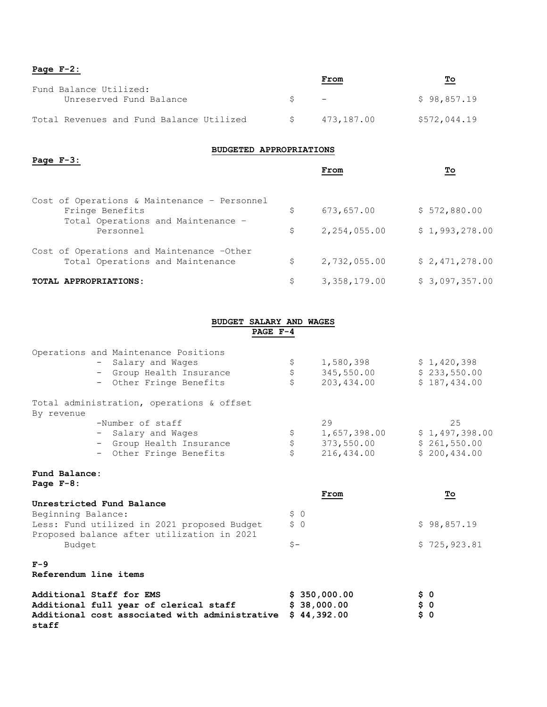| Page $F-2$ :                                      |          |            |              |  |  |
|---------------------------------------------------|----------|------------|--------------|--|--|
|                                                   |          | From       | Τо           |  |  |
| Fund Balance Utilized:<br>Unreserved Fund Balance | $S \t -$ |            | \$98,857.19  |  |  |
| Total Revenues and Fund Balance Utilized          | S.       | 473,187.00 | \$572,044.19 |  |  |

#### **BUDGETED APPROPRIATIONS**

| Page $F-3$ : |                                                                               | From               | Τо             |
|--------------|-------------------------------------------------------------------------------|--------------------|----------------|
|              | Cost of Operations & Maintenance - Personnel<br>Fringe Benefits               | \$<br>673,657.00   | \$572,880.00   |
|              | Total Operations and Maintenance -<br>Personnel                               | \$<br>2,254,055.00 | \$1,993,278.00 |
|              | Cost of Operations and Maintenance -Other<br>Total Operations and Maintenance | \$<br>2,732,055.00 | \$2,471,278.00 |
|              | TOTAL APPROPRIATIONS:                                                         | \$<br>3,358,179.00 | \$3,097,357.00 |

#### **BUDGET SALARY AND WAGES PAGE F-4**

|                                | Operations and Maintenance Positions<br>- Salary and Wages<br>- Group Health Insurance<br>- Other Fringe Benefits    | \$<br>\$<br>\$                        | 1,580,398<br>345,550.00<br>203,434.00          | \$1,420,398<br>\$233,550.00<br>\$187,434.00          |
|--------------------------------|----------------------------------------------------------------------------------------------------------------------|---------------------------------------|------------------------------------------------|------------------------------------------------------|
| By revenue                     | Total administration, operations & offset                                                                            |                                       |                                                |                                                      |
|                                | -Number of staff<br>- Salary and Wages<br>- Group Health Insurance<br>- Other Fringe Benefits                        | $\boldsymbol{\mathsf{S}}$<br>\$<br>\$ | 29<br>1,657,398.00<br>373,550.00<br>216,434.00 | 25<br>\$1,497,398.00<br>\$261,550.00<br>\$200,434.00 |
| Fund Balance:<br>Page $F-8$ :  |                                                                                                                      |                                       | From                                           | <u>To</u>                                            |
| Beginning Balance:             | Unrestricted Fund Balance<br>Less: Fund utilized in 2021 proposed Budget                                             | \$0<br>\$0                            |                                                | \$98,857.19                                          |
| Budget                         | Proposed balance after utilization in 2021                                                                           | $S -$                                 |                                                | \$725, 923.81                                        |
| $F-9$<br>Referendum line items |                                                                                                                      |                                       |                                                |                                                      |
| staff                          | Additional Staff for EMS<br>Additional full year of clerical staff<br>Additional cost associated with administrative |                                       | \$350,000.00<br>\$38,000.00<br>\$44,392.00     | \$ 0<br>\$ 0<br>\$0                                  |